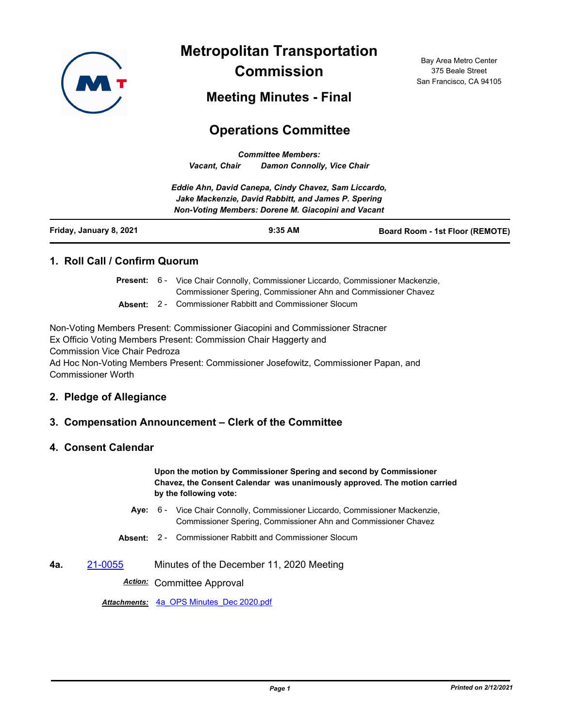

**Metropolitan Transportation Commission**

Bay Area Metro Center 375 Beale Street San Francisco, CA 94105

**Meeting Minutes - Final**

# **Operations Committee**

*Committee Members: Vacant, Chair Damon Connolly, Vice Chair*

*Eddie Ahn, David Canepa, Cindy Chavez, Sam Liccardo, Jake Mackenzie, David Rabbitt, and James P. Spering Non-Voting Members: Dorene M. Giacopini and Vacant*

| Friday, January 8, 2021 | $9:35$ AM | <b>Board Room - 1st Floor (REMOTE)</b> |
|-------------------------|-----------|----------------------------------------|
|                         |           |                                        |

## **1. Roll Call / Confirm Quorum**

Present: 6 - Vice Chair Connolly, Commissioner Liccardo, Commissioner Mackenzie, Commissioner Spering, Commissioner Ahn and Commissioner Chavez

**Absent:** 2 - Commissioner Rabbitt and Commissioner Slocum

Non-Voting Members Present: Commissioner Giacopini and Commissioner Stracner Ex Officio Voting Members Present: Commission Chair Haggerty and Commission Vice Chair Pedroza Ad Hoc Non-Voting Members Present: Commissioner Josefowitz, Commissioner Papan, and Commissioner Worth

## **2. Pledge of Allegiance**

## **3. Compensation Announcement – Clerk of the Committee**

#### **4. Consent Calendar**

**Upon the motion by Commissioner Spering and second by Commissioner Chavez, the Consent Calendar was unanimously approved. The motion carried by the following vote:**

- Aye: 6 Vice Chair Connolly, Commissioner Liccardo, Commissioner Mackenzie, Commissioner Spering, Commissioner Ahn and Commissioner Chavez
- **Absent:** 2 Commissioner Rabbitt and Commissioner Slocum
- **4a.** [21-0055](http://mtc.legistar.com/gateway.aspx?m=l&id=/matter.aspx?key=21648) Minutes of the December 11, 2020 Meeting

*Action:* Committee Approval

*Attachments:* [4a\\_OPS Minutes\\_Dec 2020.pdf](http://mtc.legistar.com/gateway.aspx?M=F&ID=fce46d18-1047-4e6b-8a8a-3257d3331322.pdf)